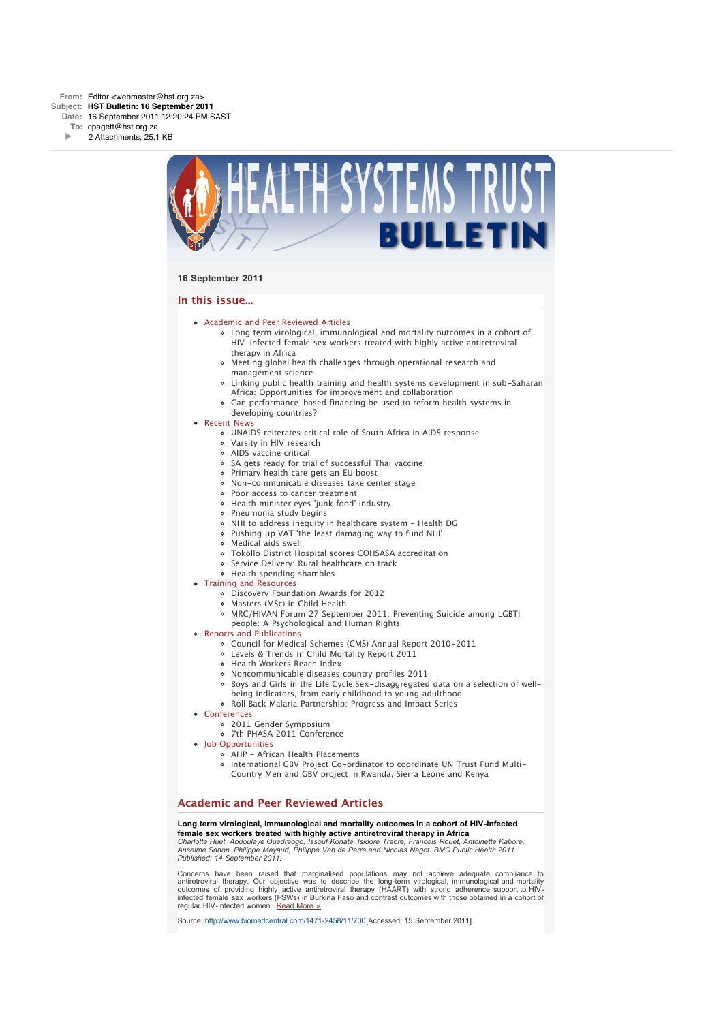

## **16 September 2011**

## **In this issue...**

- [Academic and Peer Reviewed Articles](x-msg://26/#Academic)
	- [Long term virological, immunological and mortality outcomes in a cohort of](x-msg://26/#A_0) HIV-infected female sex workers treated with highly active antiretroviral therapy in Africa
	- [Meeting global health challenges through operational research and](x-msg://26/#A_2) management science
	- [Linking public health training and health systems development in sub-Saharan](x-msg://26/#A_6) Africa: Opportunities for improvement and collaboration
	- [Can performance-based financing be used to reform health systems in](x-msg://26/#A_10)
- developing countries? • [Recent News](x-msg://26/#recent)
	- [UNAIDS reiterates critical role of South Africa in AIDS response](x-msg://26/#N_5)
	- [Varsity in HIV research](x-msg://26/#N_3)
	- [AIDS vaccine critical](x-msg://26/#N_13)
	- o [SA gets ready for trial of successful Thai vaccine](x-msg://26/#N_2)
	- [Primary health care gets an EU boost](x-msg://26/#N_65)
	- [Non-communicable diseases take center stage](x-msg://26/#N_0)
	- [Poor access to cancer treatment](x-msg://26/#N_1)
	- [Health minister eyes 'junk food' industry](x-msg://26/#N_14)
	- [Pneumonia study begins](x-msg://26/#N_9)
	- [NHI to address inequity in healthcare system Health DG](x-msg://26/#N_7)
	- [Pushing up VAT 'the least damaging way to fund NHI'](x-msg://26/#N_17)
	- [Medical aids swell](x-msg://26/#N_18)
	- [Tokollo District Hospital scores COHSASA accreditation](x-msg://26/#N_19)
	- o [Service Delivery: Rural healthcare on track](x-msg://26/#N_20)
	- [Health spending shambles](x-msg://26/#N_21)
- [Training and Resources](x-msg://26/#train)
	- [Discovery Foundation Awards for 2012](x-msg://26/#T_3)
	- [Masters \(MSc\) in Child Health](x-msg://26/#T_1)
	- [MRC/HIVAN Forum 27 September 2011: Preventing Suicide among LGBTI](x-msg://26/#T_2)
	- people: A Psychological and Human Rights
- [Reports and Publications](x-msg://26/#publications)
	- Council for Medical Schemes (CMS) Annual Report 2010-2011
	- [Levels & Trends in Child Mortality Report 2011](x-msg://26/#P_1)
	- [Health Workers Reach Index](x-msg://26/#P_2)
	- [Noncommunicable diseases country profiles 2011](x-msg://26/#P_3)
	- [Boys and Girls in the Life Cycle:Sex-disaggregated data on a selection of well](x-msg://26/#P_4)being indicators, from early childhood to young adulthood
	- [Roll Back Malaria Partnership: Progress and Impact Series](x-msg://26/#P_5)
- [Conferences](x-msg://26/#conferences)
	- [2011 Gender Symposium](x-msg://26/#C_1)
	- [7th PHASA 2011 Conference](x-msg://26/#C_3)
- [Job Opportunities](x-msg://26/#jobs)
	- [AHP African Health Placements](x-msg://26/#J_0)
	- International GBV Project Co-ordinator to coordinate UN Trust Fund Multi-Country Men and GBV project in Rwanda, Sierra Leone and Kenya

# **Academic and Peer Reviewed Articles**

## **Long term virological, immunological and mortality outcomes in a cohort of HIV-infected female sex workers treated with highly active antiretroviral therapy in Africa**

*Charlotte Huet, Abdoulaye Ouedraogo, Issouf Konate, Isidore Traore, Francois Rouet, Antoinette Kabore, Anselme Sanon, Philippe Mayaud, Philippe Van de Perre and Nicolas Nagot. BMC Public Health 2011. Published: 14 September 2011.*

Concerns have been raised that marginalised populations may not achieve adequate compliance to antiretroviral therapy. Our objective was to describe the long-term virological, immunological and mortality outcomes of providing highly active antiretroviral therapy (HAART) with strong adherence support to HIVinfected female sex workers (FSWs) in Burkina Faso and contrast outcomes with those obtained in a cohort of regular HIV-infected women...[Read More »](http://bulletin.hst.org.za//lt.php?id=K09XDFxRVgIESlBRB0UHC1NR)

Source: [http://www.biomedcentral.com/1471-2458/11/700\[](http://bulletin.hst.org.za//lt.php?id=K09XDFxRVgIESlBRB0UHC1NR)Accessed: 15 September 2011]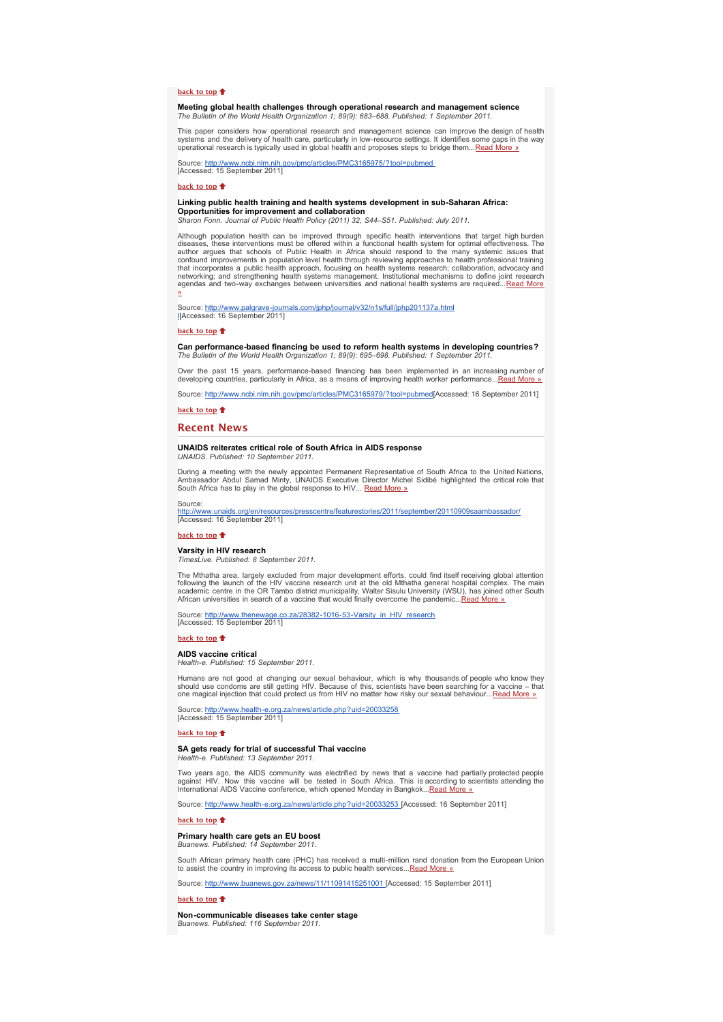## **[back to top](x-msg://26/#top)**

**Meeting global health challenges through operational research and management science** *The Bulletin of the World Health Organization 1; 89(9): 683–688. Published: 1 September 2011.*

This paper considers how operational research and management science can improve the design of health<br>systems and the delivery of health care, particularly in low-resource settings. It identifies some gaps in the<br>operation

n.gov/pmc/articles/PMC3165975/?tool=pubm Source: http://www.ncbi.nlm.nih.<br>[Accessed: 15 September 2011]

#### **[back to top](x-msg://26/#top)**

**Linking public health training and health systems development in sub-Saharan Africa: Opportunities for improvement and collaboration**

*Sharon Fonn. Journal of Public Health Policy (2011) 32, S44–S51. Published: July 2011.*

Although population health can be improved through specific health interventions that target high burden diseases, these interventions must be offered within a functional health system for optimal effectiveness. The<br>author argues that schools of Public Health in Africa should respond to the many systemic issues that<br>confound

Source: <u>http://www.palgrave-journals.com/jphp/journal/v32/n1s/full/jphp201137a.html</u><br>∐Accessed: 16 September 2011]

#### **[back to top](x-msg://26/#top)**

**Can performance-based financing be used to reform health systems in developing countries?** *The Bulletin of the World Health Organization 1; 89(9): 695–698. Published: 1 September 2011.*

Over the past 15 years, performance-based financing has been implemented in an increasing number of<br>developing countries, particularly in Africa, as a means of improving health worker performance... [Read More »](http://bulletin.hst.org.za//lt.php?id=K09XDFxRVgIBSlBRB0UHC1NR)

Source: [http://www.ncbi.nlm.nih.gov/pmc/articles/PMC3165979/?tool=pubmed](http://bulletin.hst.org.za//lt.php?id=K09XDFxRVgIBSlBRB0UHC1NR)[Accessed: 16 September 2011]

**[back to top](x-msg://26/#top)**

## **Recent News**

#### **UNAIDS reiterates critical role of South Africa in AIDS response** *UNAIDS. Published: 10 September 2011.*

During a meeting with the newly appointed Permanent Representative of South Africa to the United Nations, Ambassador Abdul Samad Minty, UNAIDS Executive Director Michel Sidibé highlighted the critical role that South Africa has to play in the global response to HIV... [Read More »](http://bulletin.hst.org.za//lt.php?id=K09XDFxRVgIASlBRB0UHC1NR)

#### Source:

bresscentre/featurestories/2011/september/20110909saambassador/ http://www.unaids.org/en/resource<br>[Accessed: 16 September 2011]

### **[back to top](x-msg://26/#top)**

## **Varsity in HIV research**

#### *TimesLive. Published: 8 September 2011.*

The Mthatha area, largely excluded from major development efforts, could find itself receiving global attention<br>following the launch of the HIV vaccine research unit at the old Mthatha general hospital complex. The main<br>ac

Source: [http://www.thenewage.co.za/28382-1016-53-Varsity\\_in\\_HIV\\_research](http://bulletin.hst.org.za//lt.php?id=K09XDFxRVgMHSlBRB0UHC1NR)<br>[Accessed: 15 September 2011]

#### **[back to top](x-msg://26/#top)**<sup>t</sup>

## **AIDS vaccine critical**

*Health-e. Published: 15 September 2011.*

Humans are not good at changing our sexual behaviour, which is why thousands of people who know they<br>should use condoms are still getting HIV. Because of this, scientists have been searching for a vaccine – that<br>one magica

Source: [http://www.health-e.org.za/news/article.php?uid=20033258](http://bulletin.hst.org.za//lt.php?id=K09XDFxRVgMFSlBRB0UHC1NR)<br>[Accessed: 15 September 2011]

#### **[back to top](x-msg://26/#top)**

#### **SA gets ready for trial of successful Thai vaccine** *Health-e. Published: 13 September 2011.*

Two years ago, the AIDS community was electrified by news that a vaccine had partially protected people<br>against HIV. Now this vaccine will be tested in South Africa. This is according to scientists attending the<br>Internatio

Source: [http://www.health-e.org.za/news/article.php?uid=20033253 \[](http://bulletin.hst.org.za//lt.php?id=K08aCFVQGQcEAVE%3D)Accessed: 16 September 2011]

#### **[back to top](x-msg://26/#top)**

# **Primary health care gets an EU boost** *Buanews. Published: 14 September 2011.*

South African primary health care (PHC) has received a multi-million rand donation from the European Union<br>to assist the country in improving its access to public health services... [Read More »](http://bulletin.hst.org.za//lt.php?id=K09XDFxRVgMDSlBRB0UHC1NR)

Source: [http://www.buanews.gov.za/news/11/11091415251001 \[](http://bulletin.hst.org.za//lt.php?id=K09XDFxRVgMCSlBRB0UHC1NR)Accessed: 15 September 2011]

## to top <sup>\*</sup>

**Non-communicable diseases take center stage** *Buanews. Published: 116 September 2011.*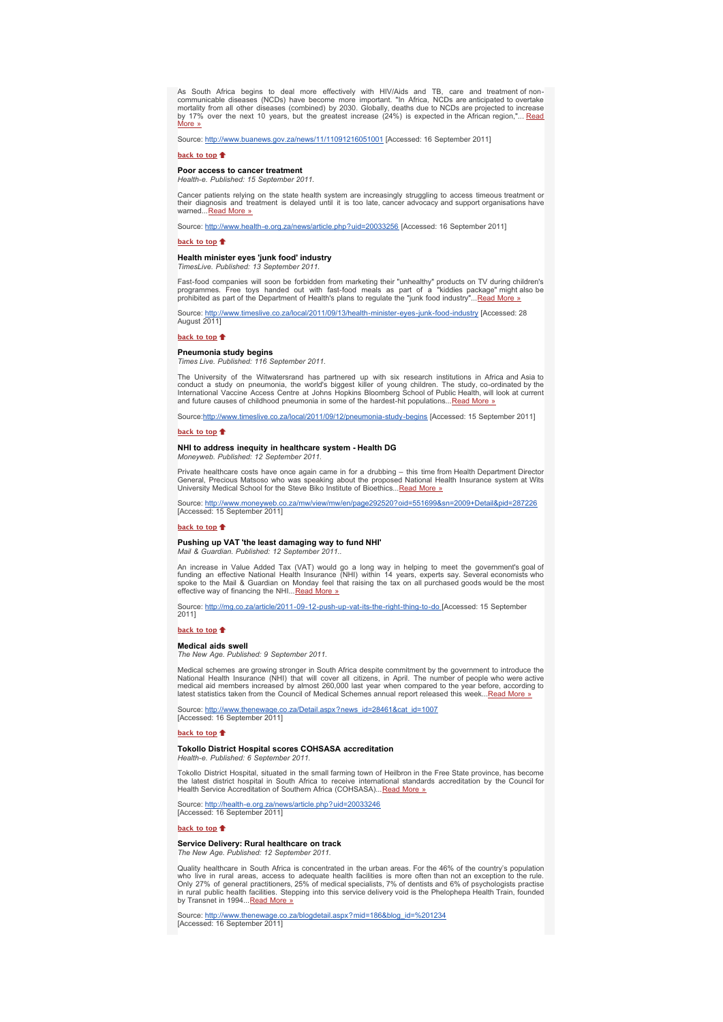As South Africa begins to deal more effectively with HIV/Aids and TB, care and treatment of non-communicable diseases (NCDs) have become more important. "In Africa, NCDs are anticipated to overtake mortality from all other diseases (combined) by 2030. Globally, deaths due to NCDs are projected to increase<br>by 17% over the next 10 years, but the greatest increase (24%) is expected in the African region,"... <u>Read</u><br><u>Mor</u>

Source: [http://www.buanews.gov.za/news/11/11091216051001](http://bulletin.hst.org.za//lt.php?id=K09XDFxRVgMASlBRB0UHC1NR) [Accessed: 16 September 2011]

#### **[back to top](x-msg://26/#top)**

#### **Poor access to cancer treatment** *Health-e. Published: 15 September 2011.*

Cancer patients relying on the state health system are increasingly struggling to access timeous treatment or their diagnosis and treatment is delayed until it is too late, cancer advocacy and support organisations have warned...<u>[Read More »](http://bulletin.hst.org.za//lt.php?id=K09XDFxRVgMPSlBRB0UHC1NR)</u>

Source: [http://www.health-e.org.za/news/article.php?uid=20033256](http://bulletin.hst.org.za//lt.php?id=K08aCFVQGQcEAVE%3D) [Accessed: 16 September 2011]

#### **[back to top](x-msg://26/#top)**

# **Health minister eyes 'junk food' industry** *TimesLive. Published: 13 September 2011.*

Fast-food companies will soon be forbidden from marketing their "unhealthy" products on TV during children's programmes. Free toys handed out with fast-food meals as part of a "kiddies package" might also be prohibited as part of the Department of Health's plans to regulate the "junk food industry"... Read More

al/2011/09/13/health-minister-eyes-junk-food-industry [Accessed: 28 Source: http://www.timeslive.co<br>August 2011]

#### **[back to top](x-msg://26/#top)**

#### **Pneumonia study begins**

*Times Live. Published: 116 September 2011.*

The University of the Witwatersrand has partnered up with six research institutions in Africa and Asia to<br>conduct a study on pneumonia, the world's biggest killer of young children. The study, co-ordinated by the<br>Internati and future causes of childhood pneumonia in some of the hardest-hit populations...<u>Read More »</u>

Source[:http://www.timeslive.co.za/local/2011/09/12/pneumonia-study-begins](http://bulletin.hst.org.za//lt.php?id=K09XDFxRVgAFSlBRB0UHC1NR) [Accessed: 15 September 2011]

#### **[back to top](x-msg://26/#top)**

#### **NHI to address inequity in healthcare system - Health DG** *Moneyweb. Published: 12 September 2011.*

Private healthcare costs have once again came in for a drubbing – this time from Health Department Director<br>General, Precious Matsoso who was speaking about the proposed National Health Insurance system at Wits<br>University

Source: <u>[http://www.moneyweb.co.za/mw/view/mw/en/page292520?oid=551699&sn=2009+Detail&pid=287226](http://bulletin.hst.org.za//lt.php?id=K09XDFxRVgADSlBRB0UHC1NR)</u><br>[Accessed: 15 September 2011]

#### **[back to top](x-msg://26/#top)**

## **Pushing up VAT 'the least damaging way to fund NHI'** *Mail & Guardian. Published: 12 September 2011..*

An increase in Value Added Tax (VAT) would go a long way in helping to meet the government's goal of<br>funding an effective National Health Insurance (NHI) within 14 years, experts say. Several economists who<br>spoke to the Ma effective way of financing the NHI...[Read More »](http://bulletin.hst.org.za//lt.php?id=K09XDFxRVgACSlBRB0UHC1NR)

Source: [http://mg.co.za/article/2011-09-12-push-up-vat-its-the-right-thing-to-do](http://bulletin.hst.org.za//lt.php?id=K09XDFxRVgABSlBRB0UHC1NR) [Accessed: 15 September 2011]

#### **[back to top](x-msg://26/#top)**

#### **Medical aids swell**

*The New Age. Published: 9 September 2011.*

Medical schemes are growing stronger in South Africa despite commitment by the government to introduce the matched the matched that will cover all citizens, in April. The number of people who medical aid members increased

Source: [http://www.thenewage.co.za/Detail.aspx?news\\_id=28461&cat\\_id=1007](http://bulletin.hst.org.za//lt.php?id=K09XDFxRVgAPSlBRB0UHC1NR) Source: http://www.thenewage.com<br>[Accessed: 16 September 2011]

#### **[back to top](x-msg://26/#top)**

## **Tokollo District Hospital scores COHSASA accreditation**

*Health-e. Published: 6 September 2011.*

Tokollo District Hospital, situated in the small farming town of Heilbron in the Free State province, has become<br>the latest district hospital in South Africa to receive international standards accreditation by the Council Health Service Accreditation of Southern Africa (COHSASA)... [Read More »](http://bulletin.hst.org.za//lt.php?id=K09XDFxRVgAOSlBRB0UHC1NR)

Source: [http://health-e.org.za/news/article.php?uid=20033246](http://bulletin.hst.org.za//lt.php?id=K08aCFVQGQcEAVE%3D) [Accessed: 16 September 2011]

#### **[back to top](x-msg://26/#top)**

## **Service Delivery: Rural healthcare on track**

*The New Age. Published: 12 September 2011.*

Quality healthcare in South Africa is concentrated in the urban areas. For the 46% of the country's population who live in rural areas, access to adequate health facilities is more often than not an exception to the rule.<br>Only 27% of general practitioners, 25% of medical specialists, 7% of dentists and 6% of psychologists practise<br>

Source: <u>[http://www.thenewage.co.za/blogdetail.aspx?mid=186&blog\\_id=%201234](http://bulletin.hst.org.za//lt.php?id=K09XDFxRVgEGSlBRB0UHC1NR)</u><br>[Accessed: 16 September 2011]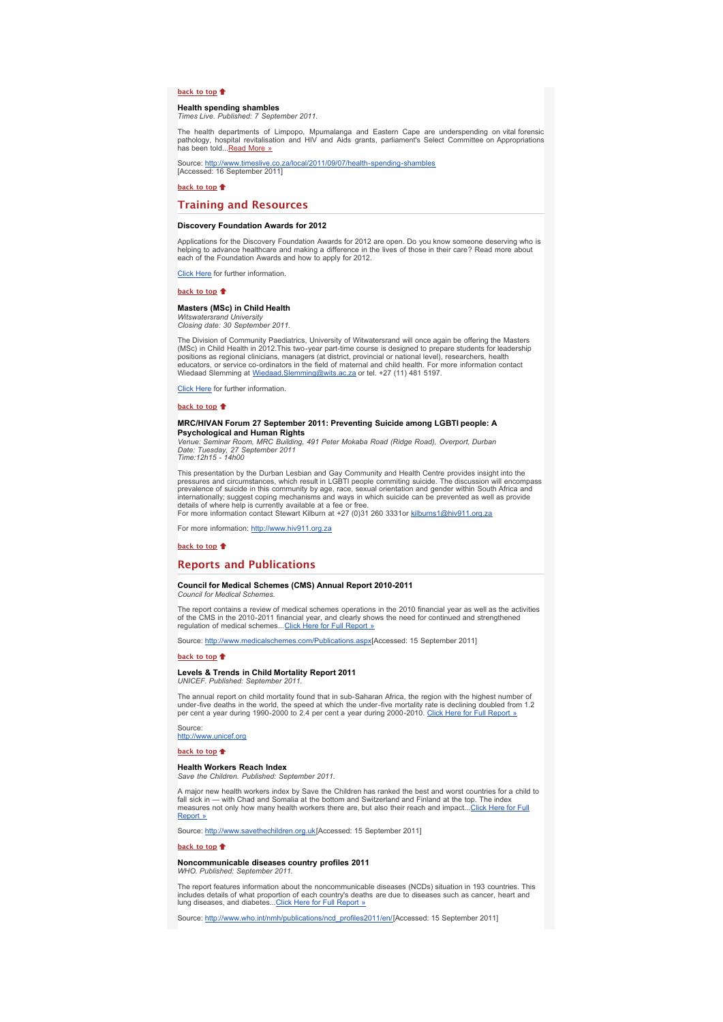## **[back to top](x-msg://26/#top)**<sup> $\uparrow$ </sup>

#### **Health spending shambles** *Times Live. Published: 7 September 2011.*

The health departments of Limpopo, Mpumalanga and Eastern Cape are underspending on vital forensic pathology, hospital revitalisation and HIV and Aids grants, parliament's Select Committee on Appropriations has been told...*Read More* »

Source: <u>[http://www.timeslive.co.za/local/2011/09/07/health-spending-shambles](http://bulletin.hst.org.za//lt.php?id=K09XDFxRVgEESlBRB0UHC1NR)</u><br>[Accessed: 16 September 2011]

**[back to top](x-msg://26/#top)**

## **Training and Resources**

## **Discovery Foundation Awards for 2012**

Applications for the Discovery Foundation Awards for 2012 are open. Do you know someone deserving who is helping to advance healthcare and making a difference in the lives of those in their care? Read more about each of the Foundation Awards and how to apply for 2012.

[Click Here](http://bulletin.hst.org.za//lt.php?id=K09XDFxRVgEDSlBRB0UHC1NR) for further information.

#### **[back to top](x-msg://26/#top)**

#### **Masters (MSc) in Child Health**

*Witswatersrand University Closing date: 30 September 2011.*

The Division of Community Paediatrics, University of Witwatersrand will once again be offering the Masters<br>(MSc) in Child Health in 2012.This two-year part-time course is designed to prepare students for leadership<br>positio Wiedaad Slemming at [Wiedaad.Slemming@wits.ac.za](mailto:Wiedaad.Slemming@wits.ac.za) or tel. +27 (11) 481 5197.

[Click Here](http://bulletin.hst.org.za//lt.php?id=K09XDFxRVgECSlBRB0UHC1NR) for further information.

**[back to top](x-msg://26/#top)** 

## **MRC/HIVAN Forum 27 September 2011: Preventing Suicide among LGBTI people: A Psychological and Human Rights**

*Venue: Seminar Room, MRC Building, 491 Peter Mokaba Road (Ridge Road), Overport, Durban Date: Tuesday, 27 September 2011 Time:12h15 - 14h00*

This presentation by the Durban Lesbian and Gay Community and Health Centre provides insight into the pressures and circumstances, which result in LGBTI people commiting suicide. The discussion will encompass prevalence of suicide in this community by age, race, sexual orientation and gender within South Africa and internationally; suggest coping mechanisms and ways in which suicide can be prevented as well as provide details of where help is currently available at a fee or free.

For more information contact Stewart Kilburn at +27 (0)31 260 3331or [kilburns1@hiv911.org.za](mailto:kilburns1@hiv911.org.za)

For more information: [http://www.hiv911.org.za](http://bulletin.hst.org.za//lt.php?id=K09XDFxRVgEBSlBRB0UHC1NR)

#### **[back to top](x-msg://26/#top)**

## **Reports and Publications**

## **Council for Medical Schemes (CMS) Annual Report 2010-2011**

*Council for Medical Schemes.*

The report contains a review of medical schemes operations in the 2010 financial year as well as the activities<br>of the CMS in the 2010-2011 financial year, and clearly shows the need for continued and strengthened<br>regulati

Source: [http://www.medicalschemes.com/Publications.aspx](http://bulletin.hst.org.za//lt.php?id=K09XDFxRVgEASlBRB0UHC1NR)[Accessed: 15 September 2011]

### **[back to top](x-msg://26/#top)**

#### **Levels & Trends in Child Mortality Report 2011** *UNICEF. Published: September 2011.*

The annual report on child mortality found that in sub-Saharan Africa, the region with the highest number of under-five deaths in the world, the speed at which the under-five mortality rate is declining doubled from 1.2<br>per cent a year during 1990-2000 to 2.4 per cent a year during 2000-2010. <u>Click Here for Full Report »</u>

Source:<br>[http://www.unicef.org](http://bulletin.hst.org.za//lt.php?id=K09XDFxRVgEOSlBRB0UHC1NR)

**[back to top](x-msg://26/#top)**

## **Health Workers Reach Index**

*Save the Children. Published: September 2011.*

A major new health workers index by Save the Children has ranked the best and worst countries for a child to<br>fall sick in — with Chad and Somalia at the bottom and Switzerland and Finland at the top. The index<br>measures not Report »

Source: [http://www.savethechildren.org.uk](http://bulletin.hst.org.za//lt.php?id=K09XDFxRVg8BSlBRB0UHC1NR)[Accessed: 15 September 2011]

#### **[back to top](x-msg://26/#top)**

#### **Noncommunicable diseases country profiles 2011** *WHO. Published: September 2011.*

The report features information about the noncommunicable diseases (NCDs) situation in 193 countries. This includes details of what proportion of each country's deaths are due to diseases such as cancer, heart and<br>Iung diseases, and diabetes...<u>Click Here for Full Report »</u>

Source: [http://www.who.int/nmh/publications/ncd\\_profiles2011/en/\[](http://bulletin.hst.org.za//lt.php?id=K09XDFxRVg4ESlBRB0UHC1NR)Accessed: 15 September 2011]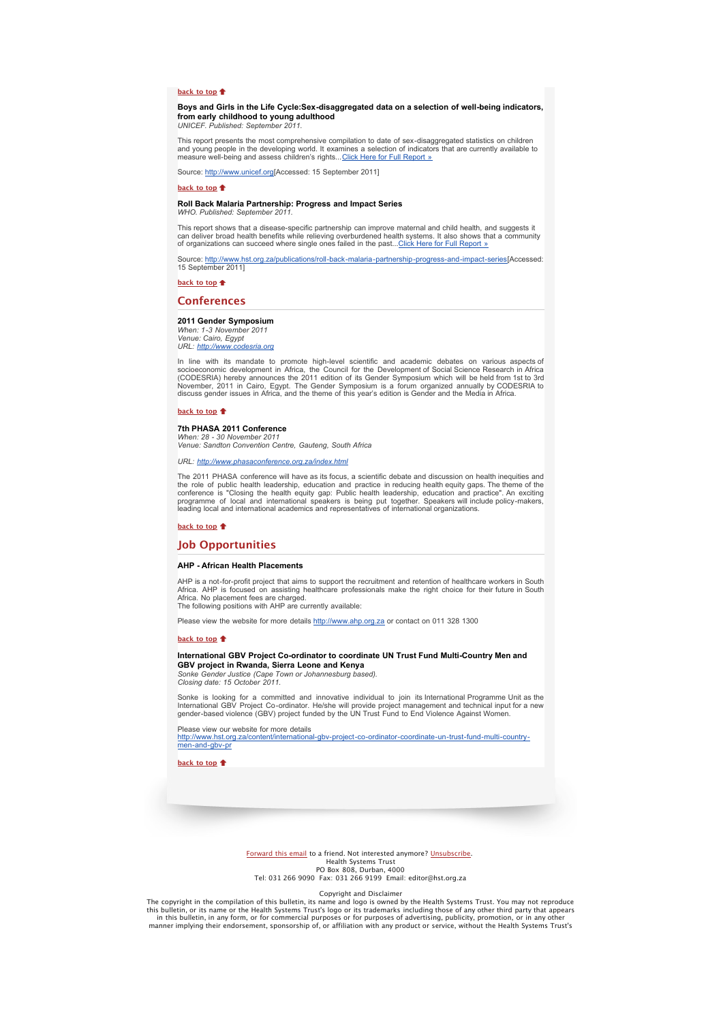## **[back to top](x-msg://26/#top)**

**Boys and Girls in the Life Cycle:Sex-disaggregated data on a selection of well-being indicators, from early childhood to young adulthood**

*UNICEF. Published: September 2011.*

This report presents the most comprehensive compilation to date of sex-disaggregated statistics on children and young people in the developing world. It examines a selection of indicators that are currently available to<br>measure well-being and assess children's rights...<u>[Click Here for Full Report »](http://bulletin.hst.org.za//lt.php?id=K09XDFxRVg4DSlBRB0UHC1NR)</u>

Source: [http://www.unicef.org\[](http://bulletin.hst.org.za//lt.php?id=K09XDFxRVgEOSlBRB0UHC1NR)Accessed: 15 September 2011]

## **[back to top](x-msg://26/#top)**<sup> $\textcolor{red}{\bullet}$ </sup>

## **Roll Back Malaria Partnership: Progress and Impact Series**

*WHO. Published: September 2011.*

This report shows that a disease-specific partnership can improve maternal and child health, and suggests it can deliver broad health benefits while relieving overburdened health systems. It also shows that a community of organizations can succeed where single ones failed in the past..[.Click Here for Full Report »](http://bulletin.hst.org.za//lt.php?id=K09XDFxRVg4CSlBRB0UHC1NR)

Source: <u>[http://www.hst.org.za/publications/roll-back-malaria-partnership-progress-and-impact-series](http://bulletin.hst.org.za//lt.php?id=K09XDFxRVg4CSlBRB0UHC1NR)[</u>Accessed:<br>15 September 2011]

**[back to top](x-msg://26/#top)**

## **Conferences**

#### **2011 Gender Symposium**

*When: 1-3 November 2011 Venue: Cairo, Egypt* URL: http://ww

In line with its mandate to promote high-level scientific and academic debates on various aspects of socioeconomic development in Africa, the Council for the Development of Social Science Research in Africa<br>(CODESRIA) hereby announces the 2011 edition of its Gender Symposium which will be held from 1st to 3rd<br>November, 20 discuss gender issues in Africa, and the theme of this year's edition is Gender and the Media in Africa.

## **[back to top](x-msg://26/#top)**

#### **7th PHASA 2011 Conference**

*When: 28 - 30 November 2011 Venue: Sandton Convention Centre, Gauteng, South Africa*

*URL: [http://www.phasaconference.org.za/index.html](http://bulletin.hst.org.za//lt.php?id=K09XDFxRVg4ASlBRB0UHC1NR)*

The 2011 PHASA conference will have as its focus, a scientific debate and discussion on health inequities and the role of public health leadership, education and practice in reducing health equity gaps. The theme of the<br>conference is "Closing the health equity gap: Public health leadership, education and practice". An exciting<br>pro leading local and international academics and representatives of international organizations.

## **[back to top](x-msg://26/#top)**

## **Job Opportunities**

#### **AHP - African Health Placements**

AHP is a not-for-profit project that aims to support the recruitment and retention of healthcare workers in South Africa. AHP is focused on assisting healthcare professionals make the right choice for their future in South Africa. No placement fees are charged. The following positions with AHP are currently available:

Please view the website for more details [http://www.ahp.org.za](http://bulletin.hst.org.za//lt.php?id=K09XDFxRVg4PSlBRB0UHC1NR) or contact on 011 328 1300

#### **[back to top](x-msg://26/#top)**

## **International GBV Project Co-ordinator to coordinate UN Trust Fund Multi-Country Men and GBV project in Rwanda, Sierra Leone and Kenya**

*Sonke Gender Justice (Cape Town or Johannesburg based). Closing date: 15 October 2011.*

Sonke is looking for a committed and innovative individual to join its International Programme Unit as the International GBV Project Co-ordinator. He/she will provide project management and technical input for a new gender-based violence (GBV) project funded by the UN Trust Fund to End Violence Against Women.

Please view our website for more details

[http://www.hst.org.za/content/international-gbv-project-co-ordinator-coordinate-un-trust-fund-multi-country-](http://bulletin.hst.org.za//lt.php?id=K09XDFxRVg4OSlBRB0UHC1NR)men-and-gbv-pr

**[back to top](x-msg://26/#top)**

[Forward this email](http://bulletin.hst.org.za//lt.php?id=K09XDFxRVg8HSlBRB0UHC1NR) to a friend. Not interested anymore? [Unsubscribe.](http://bulletin.hst.org.za//lt.php?id=K09XDFxRVg8GSlBRB0UHC1NR) Health Systems Trust PO Box 808, Durban, 4000 Tel: 031 266 9090 Fax: 031 266 9199 Email: editor@hst.org.za

Copyright and Disclaimer

The copyright in the compilation of this bulletin, its name and logo is owned by the Health Systems Trust. You may not reproduce<br>this bulletin, or its name or the Health Systems Trust's logo or its trademarks including tho in this bulletin, in any form, or for commercial purposes or for purposes of advertising, publicity, promotion, or in any other<br>"manner implying their endorsement, sponsorship of, or affiliation with any product or service